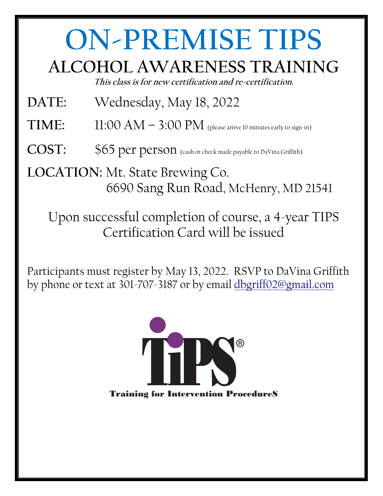## **ON-PREMISE TIPS**

## **ALCOHOL AWARENESS TRAINING**

**This class is for new certification and re-certification.** 

- **DATE:** Wednesday, May 18, 2022
- **TIME:**  $11:00 \text{ AM} 3:00 \text{ PM}$  (please arrive 10 minutes early to sign-in)
- **COST:** \$65 per person (cash or check made payable to DaVina Griffith)

**LOCATION:** Mt. State Brewing Co. 6690 Sang Run Road, McHenry, MD 21541

Upon successful completion of course, a 4-year TIPS Certification Card will be issued

Participants must register by May 13, 2022. RSVP to DaVina Griffith by phone or text at 301-707-3187 or by email [dbgriff02@gmail.com](mailto:dbgriff02@gmail.com)